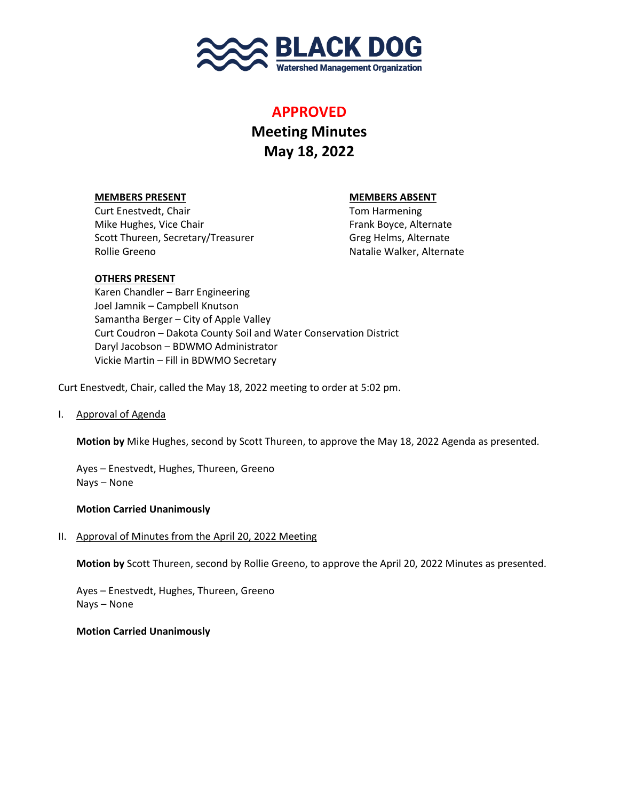

## **APPROVED**

# **Meeting Minutes May 18, 2022**

### **MEMBERS PRESENT MEMBERS ABSENT**

Curt Enestvedt, Chair Tom Harmening Mike Hughes, Vice Chair Frank Boyce, Alternate Scott Thureen, Secretary/Treasurer Greg Helms, Alternate Rollie Greeno Natalie Walker, Alternate

#### **OTHERS PRESENT**

Karen Chandler – Barr Engineering Joel Jamnik – Campbell Knutson Samantha Berger – City of Apple Valley Curt Coudron – Dakota County Soil and Water Conservation District Daryl Jacobson – BDWMO Administrator Vickie Martin – Fill in BDWMO Secretary

Curt Enestvedt, Chair, called the May 18, 2022 meeting to order at 5:02 pm.

I. Approval of Agenda

**Motion by** Mike Hughes, second by Scott Thureen, to approve the May 18, 2022 Agenda as presented.

Ayes – Enestvedt, Hughes, Thureen, Greeno Nays – None

#### **Motion Carried Unanimously**

II. Approval of Minutes from the April 20, 2022 Meeting

**Motion by** Scott Thureen, second by Rollie Greeno, to approve the April 20, 2022 Minutes as presented.

Ayes – Enestvedt, Hughes, Thureen, Greeno Nays – None

**Motion Carried Unanimously**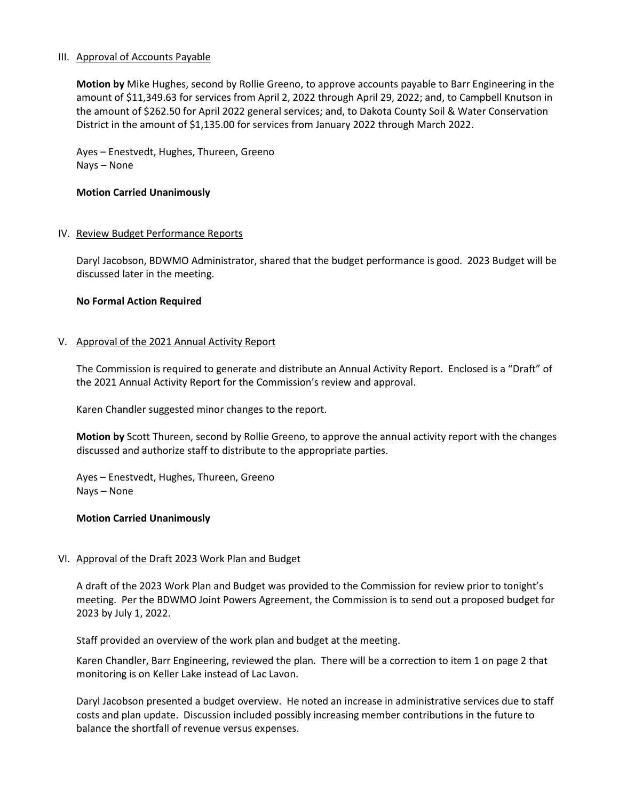#### III. Approval of Accounts Payable

**Motion by** Mike Hughes, second by Rollie Greeno, to approve accounts payable to Barr Engineering in the amount of \$11,349.63 for services from April 2, 2022 through April 29, 2022; and, to Campbell Knutson in the amount of \$262.50 for April 2022 general services; and, to Dakota County Soil & Water Conservation District in the amount of \$1,135.00 for services from January 2022 through March 2022.

Ayes – Enestvedt, Hughes, Thureen, Greeno Nays – None

#### **Motion Carried Unanimously**

#### IV. Review Budget Performance Reports

Daryl Jacobson, BDWMO Administrator, shared that the budget performance is good. 2023 Budget will be discussed later in the meeting.

#### **No Formal Action Required**

#### V. Approval of the 2021 Annual Activity Report

The Commission is required to generate and distribute an Annual Activity Report. Enclosed is a "Draft" of the 2021 Annual Activity Report for the Commission's review and approval.

Karen Chandler suggested minor changes to the report.

**Motion by** Scott Thureen, second by Rollie Greeno, to approve the annual activity report with the changes discussed and authorize staff to distribute to the appropriate parties.

Ayes – Enestvedt, Hughes, Thureen, Greeno Nays – None

#### **Motion Carried Unanimously**

#### VI. Approval of the Draft 2023 Work Plan and Budget

A draft of the 2023 Work Plan and Budget was provided to the Commission for review prior to tonight's meeting. Per the BDWMO Joint Powers Agreement, the Commission is to send out a proposed budget for 2023 by July 1, 2022.

Staff provided an overview of the work plan and budget at the meeting.

Karen Chandler, Barr Engineering, reviewed the plan. There will be a correction to item 1 on page 2 that monitoring is on Keller Lake instead of Lac Lavon.

Daryl Jacobson presented a budget overview. He noted an increase in administrative services due to staff costs and plan update. Discussion included possibly increasing member contributions in the future to balance the shortfall of revenue versus expenses.